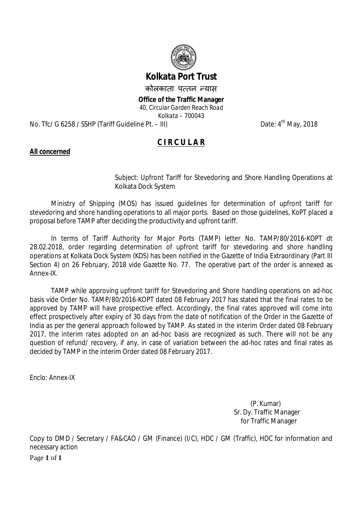

# **Kolkata Port Trust**

कोलकाता पत्तन न्यास

**Office of the Traffic Manager**

*40, Circular Garden Reach Road Kolkata – 700043*

No. Tfc/ G 6258 / SSHP (Tariff Guideline Pt.  $-$  III)

Date:  $4^{th}$  May, 2018

# **C I R C U L A R**

## **All concerned**

Subject: Upfront Tariff for Stevedoring and Shore Handling Operations at Kolkata Dock System

Ministry of Shipping (MOS) has issued guidelines for determination of upfront tariff for stevedoring and shore handling operations to all major ports. Based on those guidelines, KoPT placed a proposal before TAMP after deciding the productivity and upfront tariff.

In terms of Tariff Authority for Major Ports (TAMP) letter No. TAMP/80/2016-KOPT dt 28.02.2018, order regarding determination of upfront tariff for stevedoring and shore handling operations at Kolkata Dock System (KDS) has been notified in the Gazette of India Extraordinary (Part III Section 4) on 26 February, 2018 vide Gazette No. 77. The operative part of the order is annexed as Annex-IX.

TAMP while approving upfront tariff for Stevedoring and Shore handling operations on ad-hoc basis vide Order No. TAMP/80/2016-KOPT dated 08 February 2017 has stated that the final rates to be approved by TAMP will have prospective effect. Accordingly, the final rates approved will come into effect prospectively after expiry of 30 days from the date of notification of the Order in the Gazette of India as per the general approach followed by TAMP. As stated in the interim Order dated 08 February 2017, the interim rates adopted on an ad-hoc basis are recognized as such. There will not be any question of refund/ recovery, if any, in case of variation between the ad-hoc rates and final rates as decided by TAMP in the interim Order dated 08 February 2017.

Enclo: Annex-IX

 (P. Kumar) Sr. Dy. Traffic Manager for Traffic Manager

Page **1** of **1** Copy to DMD / Secretary / FA&CAO / GM (Finance) (I/C), HDC / GM (Traffic), HDC for information and necessary action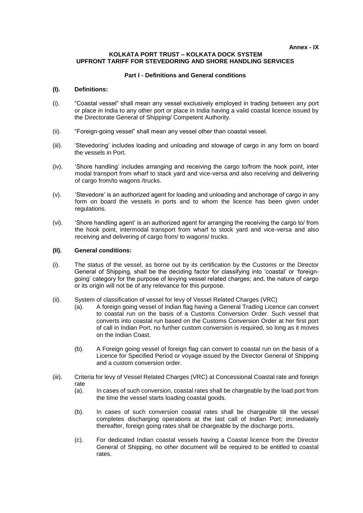**Annex - IX**

#### **KOLKATA PORT TRUST – KOLKATA DOCK SYSTEM UPFRONT TARIFF FOR STEVEDORING AND SHORE HANDLING SERVICES**

## **Part I - Definitions and General conditions**

## **(I). Definitions:**

- (i). "Coastal vessel" shall mean any vessel exclusively employed in trading between any port or place in India to any other port or place in India having a valid coastal licence issued by the Directorate General of Shipping/ Competent Authority.
- (ii). "Foreign-going vessel" shall mean any vessel other than coastal vessel.
- (iii). 'Stevedoring' includes loading and unloading and stowage of cargo in any form on board the vessels in Port.
- (iv). 'Shore handling' includes arranging and receiving the cargo to/from the hook point, inter modal transport from wharf to stack yard and vice-versa and also receiving and delivering of cargo from/to wagons /trucks.
- (v). 'Stevedore' is an authorized agent for loading and unloading and anchorage of cargo in any form on board the vessels in ports and to whom the licence has been given under regulations.
- (vi). 'Shore handling agent' is an authorized agent for arranging the receiving the cargo to/ from the hook point, intermodal transport from wharf to stock yard and vice-versa and also receiving and delivering of cargo from/ to wagons/ trucks.

## **(II). General conditions:**

- (i). The status of the vessel, as borne out by its certification by the Customs or the Director General of Shipping, shall be the deciding factor for classifying into 'coastal' or 'foreigngoing' category for the purpose of levying vessel related charges; and, the nature of cargo or its origin will not be of any relevance for this purpose.
- (ii). System of classification of vessel for levy of Vessel Related Charges (VRC)
	- (a). A foreign going vessel of Indian flag having a General Trading Licence can convert to coastal run on the basis of a Customs Conversion Order. Such vessel that converts into coastal run based on the Customs Conversion Order at her first port of call in Indian Port, no further custom conversion is required, so long as it moves on the Indian Coast.
	- (b). A Foreign going vessel of foreign flag can convert to coastal run on the basis of a Licence for Specified Period or voyage issued by the Director General of Shipping and a custom conversion order.
- (iii). Criteria for levy of Vessel Related Charges (VRC) at Concessional Coastal rate and foreign rate
	- (a). In cases of such conversion, coastal rates shall be chargeable by the load port from the time the vessel starts loading coastal goods.
	- (b). In cases of such conversion coastal rates shall be chargeable till the vessel completes discharging operations at the last call of Indian Port; immediately thereafter, foreign going rates shall be chargeable by the discharge ports.
	- (c). For dedicated Indian coastal vessels having a Coastal licence from the Director General of Shipping, no other document will be required to be entitled to coastal rates.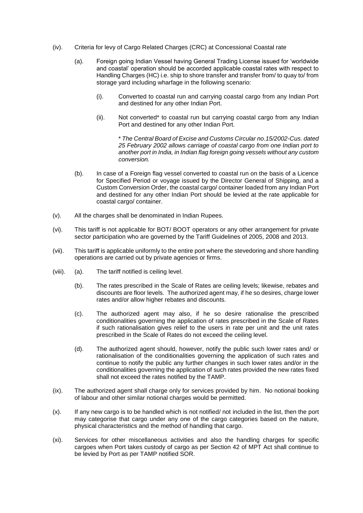- (iv). Criteria for levy of Cargo Related Charges (CRC) at Concessional Coastal rate
	- (a). Foreign going Indian Vessel having General Trading License issued for 'worldwide and coastal' operation should be accorded applicable coastal rates with respect to Handling Charges (HC) i.e. ship to shore transfer and transfer from/ to quay to/ from storage yard including wharfage in the following scenario:
		- (i). Converted to coastal run and carrying coastal cargo from any Indian Port and destined for any other Indian Port.
		- (ii). Not converted\* to coastal run but carrying coastal cargo from any Indian Port and destined for any other Indian Port.

\* *The Central Board of Excise and Customs Circular no.15/2002-Cus. dated 25 February 2002 allows carriage of coastal cargo from one Indian port to another port in India, in Indian flag foreign going vessels without any custom conversion.*

- (b). In case of a Foreign flag vessel converted to coastal run on the basis of a Licence for Specified Period or voyage issued by the Director General of Shipping, and a Custom Conversion Order, the coastal cargo/ container loaded from any Indian Port and destined for any other Indian Port should be levied at the rate applicable for coastal cargo/ container.
- (v). All the charges shall be denominated in Indian Rupees.
- (vi). This tariff is not applicable for BOT/ BOOT operators or any other arrangement for private sector participation who are governed by the Tariff Guidelines of 2005, 2008 and 2013.
- (vii). This tariff is applicable uniformly to the entire port where the stevedoring and shore handling operations are carried out by private agencies or firms.
- (viii). (a). The tariff notified is ceiling level.
	- (b). The rates prescribed in the Scale of Rates are ceiling levels; likewise, rebates and discounts are floor levels. The authorized agent may, if he so desires, charge lower rates and/or allow higher rebates and discounts.
	- (c). The authorized agent may also, if he so desire rationalise the prescribed conditionalities governing the application of rates prescribed in the Scale of Rates if such rationalisation gives relief to the users in rate per unit and the unit rates prescribed in the Scale of Rates do not exceed the ceiling level.
	- (d). The authorized agent should, however, notify the public such lower rates and/ or rationalisation of the conditionalities governing the application of such rates and continue to notify the public any further changes in such lower rates and/or in the conditionalities governing the application of such rates provided the new rates fixed shall not exceed the rates notified by the TAMP.
- (ix). The authorized agent shall charge only for services provided by him. No notional booking of labour and other similar notional charges would be permitted.
- (x). If any new cargo is to be handled which is not notified/ not included in the list, then the port may categorise that cargo under any one of the cargo categories based on the nature, physical characteristics and the method of handling that cargo.
- (xi). Services for other miscellaneous activities and also the handling charges for specific cargoes when Port takes custody of cargo as per Section 42 of MPT Act shall continue to be levied by Port as per TAMP notified SOR.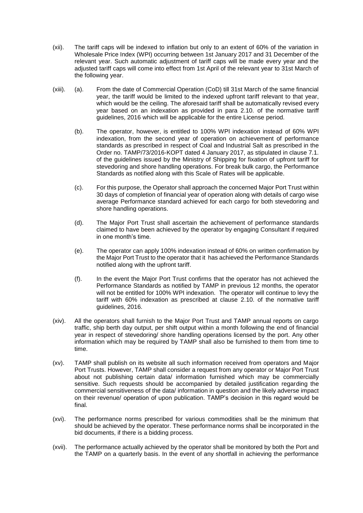- (xii). The tariff caps will be indexed to inflation but only to an extent of 60% of the variation in Wholesale Price Index (WPI) occurring between 1st January 2017 and 31 December of the relevant year. Such automatic adjustment of tariff caps will be made every year and the adjusted tariff caps will come into effect from 1st April of the relevant year to 31st March of the following year.
- (xiii). (a). From the date of Commercial Operation (CoD) till 31st March of the same financial year, the tariff would be limited to the indexed upfront tariff relevant to that year, which would be the ceiling. The aforesaid tariff shall be automatically revised every year based on an indexation as provided in para 2.10. of the normative tariff guidelines, 2016 which will be applicable for the entire License period.
	- (b). The operator, however, is entitled to 100% WPI indexation instead of 60% WPI indexation, from the second year of operation on achievement of performance standards as prescribed in respect of Coal and Industrial Salt as prescribed in the Order no. TAMP/73/2016-KOPT dated 4 January 2017, as stipulated in clause 7.1. of the guidelines issued by the Ministry of Shipping for fixation of upfront tariff for stevedoring and shore handling operations. For break bulk cargo, the Performance Standards as notified along with this Scale of Rates will be applicable.
	- (c). For this purpose, the Operator shall approach the concerned Major Port Trust within 30 days of completion of financial year of operation along with details of cargo wise average Performance standard achieved for each cargo for both stevedoring and shore handling operations.
	- (d). The Major Port Trust shall ascertain the achievement of performance standards claimed to have been achieved by the operator by engaging Consultant if required in one month's time.
	- (e). The operator can apply 100% indexation instead of 60% on written confirmation by the Major Port Trust to the operator that it has achieved the Performance Standards notified along with the upfront tariff.
	- (f). In the event the Major Port Trust confirms that the operator has not achieved the Performance Standards as notified by TAMP in previous 12 months, the operator will not be entitled for 100% WPI indexation. The operator will continue to levy the tariff with 60% indexation as prescribed at clause 2.10. of the normative tariff guidelines, 2016.
- (xiv). All the operators shall furnish to the Major Port Trust and TAMP annual reports on cargo traffic, ship berth day output, per shift output within a month following the end of financial year in respect of stevedoring/ shore handling operations licensed by the port. Any other information which may be required by TAMP shall also be furnished to them from time to time.
- (xv). TAMP shall publish on its website all such information received from operators and Major Port Trusts. However, TAMP shall consider a request from any operator or Major Port Trust about not publishing certain data/ information furnished which may be commercially sensitive. Such requests should be accompanied by detailed justification regarding the commercial sensitiveness of the data/ information in question and the likely adverse impact on their revenue/ operation of upon publication. TAMP's decision in this regard would be final.
- (xvi). The performance norms prescribed for various commodities shall be the minimum that should be achieved by the operator. These performance norms shall be incorporated in the bid documents, if there is a bidding process.
- (xvii). The performance actually achieved by the operator shall be monitored by both the Port and the TAMP on a quarterly basis. In the event of any shortfall in achieving the performance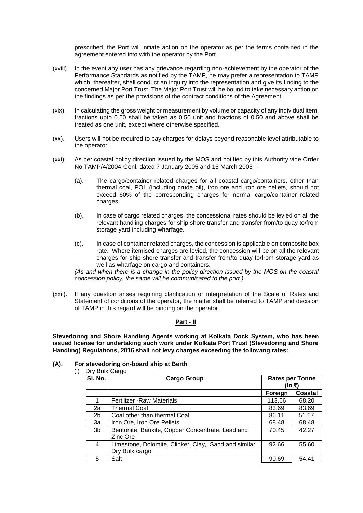prescribed, the Port will initiate action on the operator as per the terms contained in the agreement entered into with the operator by the Port.

- (xviii). In the event any user has any grievance regarding non-achievement by the operator of the Performance Standards as notified by the TAMP, he may prefer a representation to TAMP which, thereafter, shall conduct an inquiry into the representation and give its finding to the concerned Major Port Trust. The Major Port Trust will be bound to take necessary action on the findings as per the provisions of the contract conditions of the Agreement.
- (xix). In calculating the gross weight or measurement by volume or capacity of any individual item, fractions upto 0.50 shall be taken as 0.50 unit and fractions of 0.50 and above shall be treated as one unit, except where otherwise specified.
- (xx). Users will not be required to pay charges for delays beyond reasonable level attributable to the operator.
- (xxi). As per coastal policy direction issued by the MOS and notified by this Authority vide Order No.TAMP/4/2004-Genl. dated 7 January 2005 and 15 March 2005 –
	- (a). The cargo/container related charges for all coastal cargo/containers, other than thermal coal, POL (including crude oil), iron ore and iron ore pellets, should not exceed 60% of the corresponding charges for normal cargo/container related charges.
	- (b). In case of cargo related charges, the concessional rates should be levied on all the relevant handling charges for ship shore transfer and transfer from/to quay to/from storage yard including wharfage.
	- (c). In case of container related charges, the concession is applicable on composite box rate. Where itemised charges are levied, the concession will be on all the relevant charges for ship shore transfer and transfer from/to quay to/from storage yard as well as wharfage on cargo and containers.

*(As and when there is a change in the policy direction issued by the MOS on the coastal concession policy, the same will be communicated to the port.)*

(xxii). If any question arises requiring clarification or interpretation of the Scale of Rates and Statement of conditions of the operator, the matter shall be referred to TAMP and decision of TAMP in this regard will be binding on the operator.

#### **Part - II**

**Stevedoring and Shore Handling Agents working at Kolkata Dock System, who has been issued license for undertaking such work under Kolkata Port Trust (Stevedoring and Shore Handling) Regulations, 2016 shall not levy charges exceeding the following rates:**

#### **(A). For stevedoring on-board ship at Berth**

| (i) | Dry Bulk Cargo |                                                      |         |                        |
|-----|----------------|------------------------------------------------------|---------|------------------------|
|     | SI. No.        | <b>Cargo Group</b>                                   |         | <b>Rates per Tonne</b> |
|     |                |                                                      | (In ₹)  |                        |
|     |                |                                                      | Foreign | <b>Coastal</b>         |
|     |                | <b>Fertilizer - Raw Materials</b>                    | 113.66  | 68.20                  |
|     | 2a             | <b>Thermal Coal</b>                                  | 83.69   | 83.69                  |
|     | 2 <sub>b</sub> | Coal other than thermal Coal                         | 86.11   | 51.67                  |
|     | За             | Iron Ore, Iron Ore Pellets                           | 68.48   | 68.48                  |
|     | 3 <sub>b</sub> | Bentonite, Bauxite, Copper Concentrate, Lead and     | 70.45   | 42.27                  |
|     |                | Zinc Ore                                             |         |                        |
|     | 4              | Limestone, Dolomite, Clinker, Clay, Sand and similar | 92.66   | 55.60                  |
|     |                | Dry Bulk cargo                                       |         |                        |
|     | 5              | Salt                                                 | 90.69   | 54.41                  |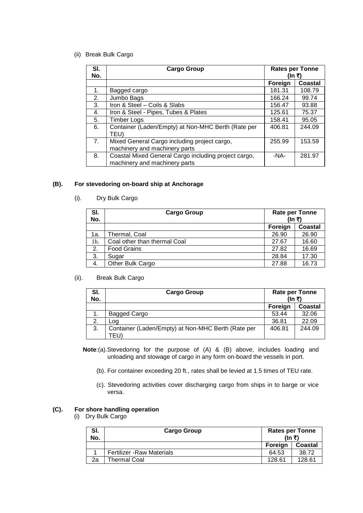(ii) Break Bulk Cargo

| SI.<br>No. | <b>Cargo Group</b>                                                                    | <b>Rates per Tonne</b><br>(In ₹) |         |
|------------|---------------------------------------------------------------------------------------|----------------------------------|---------|
|            |                                                                                       | Foreign                          | Coastal |
| 1.         | Bagged cargo                                                                          | 181.31                           | 108.79  |
| 2.         | Jumbo Bags                                                                            | 166.24                           | 99.74   |
| 3.         | Iron & Steel - Coils & Slabs                                                          | 156.47                           | 93.88   |
| 4.         | Iron & Steel - Pipes, Tubes & Plates                                                  | 125.61                           | 75.37   |
| 5.         | <b>Timber Logs</b>                                                                    | 158.41                           | 95.05   |
| 6.         | Container (Laden/Empty) at Non-MHC Berth (Rate per<br>TEU)                            | 406.81                           | 244.09  |
| 7.         | Mixed General Cargo including project cargo,<br>machinery and machinery parts         | 255.99                           | 153.59  |
| 8.         | Coastal Mixed General Cargo including project cargo,<br>machinery and machinery parts | -NA-                             | 281.97  |

## **(B). For stevedoring on-board ship at Anchorage**

(i). Dry Bulk Cargo

| SI.<br>No. | <b>Cargo Group</b>           | <b>Rate per Tonne</b><br>(In ₹) |         |
|------------|------------------------------|---------------------------------|---------|
|            |                              | Foreign                         | Coastal |
| 1a.        | Thermal, Coal                | 26.90                           | 26.90   |
| 1b.        | Coal other than thermal Coal | 27.67                           | 16.60   |
| 2.         | <b>Food Grains</b>           | 27.82                           | 16.69   |
| 3.         | Sugar                        | 28.84                           | 17.30   |
| 4.         | Other Bulk Cargo             | 27.88                           | 16.73   |

## (ii). Break Bulk Cargo

| SI.<br>No. | Cargo Group                                        | <b>Rate per Tonne</b><br>(In ₹) |         |
|------------|----------------------------------------------------|---------------------------------|---------|
|            |                                                    | <b>Foreign</b>                  | Coastal |
| 1.         | Bagged Cargo                                       | 53.44                           | 32.06   |
| 2.         | Log                                                | 36.81                           | 22.09   |
| 3.         | Container (Laden/Empty) at Non-MHC Berth (Rate per | 406.81                          | 244.09  |
|            | (FEU                                               |                                 |         |

- **Note**:(a).Stevedoring for the purpose of (A) & (B) above, includes loading and unloading and stowage of cargo in any form on-board the vessels in port.
	- (b). For container exceeding 20 ft., rates shall be levied at 1.5 times of TEU rate.
	- (c). Stevedoring activities cover discharging cargo from ships in to barge or vice versa.

## **(C). For shore handling operation**

(i) Dry Bulk Cargo

| SI.<br>No. | <b>Cargo Group</b>                | <b>Rates per Tonne</b><br>(In ₹) |         |
|------------|-----------------------------------|----------------------------------|---------|
|            |                                   | Foreign                          | Coastal |
|            | <b>Fertilizer - Raw Materials</b> | 64.53                            | 38.72   |
| 2a         | Thermal Coal                      | 128.61                           | 128.61  |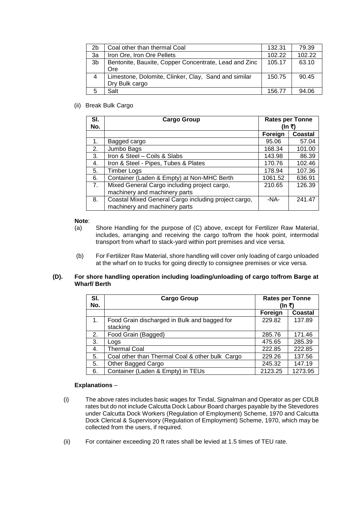| 2b             | Coal other than thermal Coal                          | 132.31 | 79.39  |
|----------------|-------------------------------------------------------|--------|--------|
| 3a             | Iron Ore, Iron Ore Pellets                            | 102.22 | 102.22 |
| 3 <sub>b</sub> | Bentonite, Bauxite, Copper Concentrate, Lead and Zinc | 105.17 | 63.10  |
|                | Ore                                                   |        |        |
| 4              | Limestone, Dolomite, Clinker, Clay, Sand and similar  | 150.75 | 90.45  |
|                | Dry Bulk cargo                                        |        |        |
| 5              | Salt                                                  | 156.77 | 94.06  |

(ii) Break Bulk Cargo

| SI.<br>No. | <b>Cargo Group</b>                                   | <b>Rates per Tonne</b><br>(In ₹) |                |
|------------|------------------------------------------------------|----------------------------------|----------------|
|            |                                                      | Foreign                          | <b>Coastal</b> |
| 1.         | Bagged cargo                                         | 95.06                            | 57.04          |
| 2.         | Jumbo Bags                                           | 168.34                           | 101.00         |
| 3.         | Iron & Steel - Coils & Slabs                         | 143.98                           | 86.39          |
| 4.         | Iron & Steel - Pipes, Tubes & Plates                 | 170.76                           | 102.46         |
| 5.         | <b>Timber Logs</b>                                   | 178.94                           | 107.36         |
| 6.         | Container (Laden & Empty) at Non-MHC Berth           | 1061.52                          | 636.91         |
| 7.         | Mixed General Cargo including project cargo,         | 210.65                           | 126.39         |
|            | machinery and machinery parts                        |                                  |                |
| 8.         | Coastal Mixed General Cargo including project cargo, | $-NA-$                           | 241.47         |
|            | machinery and machinery parts                        |                                  |                |

#### **Note**:

- (a) Shore Handling for the purpose of (C) above, except for Fertilizer Raw Material, includes, arranging and receiving the cargo to/from the hook point, intermodal transport from wharf to stack-yard within port premises and vice versa.
- (b) For Fertilizer Raw Material, shore handling will cover only loading of cargo unloaded at the wharf on to trucks for going directly to consignee premises or vice versa.

## **(D). For shore handling operation including loading/unloading of cargo to/from Barge at Wharf/ Berth**

| SI.<br>No. | <b>Cargo Group</b>                                       | <b>Rates per Tonne</b><br>(In ₹) |         |
|------------|----------------------------------------------------------|----------------------------------|---------|
|            |                                                          | Foreign                          | Coastal |
| 1.         | Food Grain discharged in Bulk and bagged for<br>stacking | 229.82                           | 137.89  |
| 2.         | Food Grain (Bagged)                                      | 285.76                           | 171.46  |
| 3.         | Logs                                                     | 475.65                           | 285.39  |
| 4.         | <b>Thermal Coal</b>                                      | 222.85                           | 222.85  |
| 5.         | Coal other than Thermal Coal & other bulk Cargo          | 229.26                           | 137.56  |
| 5.         | Other Bagged Cargo                                       | 245.32                           | 147.19  |
| 6.         | Container (Laden & Empty) in TEUs                        | 2123.25                          | 1273.95 |

## **Explanations** –

- (i) The above rates includes basic wages for Tindal, Signalman and Operator as per CDLB rates but do not include Calcutta Dock Labour Board charges payable by the Stevedores under Calcutta Dock Workers (Regulation of Employment) Scheme, 1970 and Calcutta Dock Clerical & Supervisory (Regulation of Employment) Scheme, 1970, which may be collected from the users, if required.
- (ii) For container exceeding 20 ft rates shall be levied at 1.5 times of TEU rate.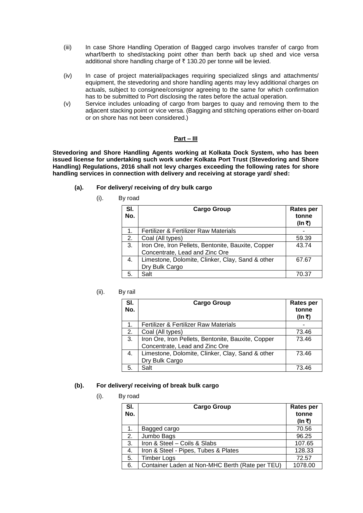- (iii) In case Shore Handling Operation of Bagged cargo involves transfer of cargo from wharf/berth to shed/stacking point other than berth back up shed and vice versa additional shore handling charge of  $\bar{\tau}$  130.20 per tonne will be levied.
- (iv) In case of project material/packages requiring specialized slings and attachments/ equipment, the stevedoring and shore handling agents may levy additional charges on actuals, subject to consignee/consignor agreeing to the same for which confirmation has to be submitted to Port disclosing the rates before the actual operation.
- (v) Service includes unloading of cargo from barges to quay and removing them to the adjacent stacking point or vice versa. (Bagging and stitching operations either on-board or on shore has not been considered.)

### **Part – III**

**Stevedoring and Shore Handling Agents working at Kolkata Dock System, who has been issued license for undertaking such work under Kolkata Port Trust (Stevedoring and Shore Handling) Regulations, 2016 shall not levy charges exceeding the following rates for shore handling services in connection with delivery and receiving at storage yard/ shed:**

- **(a). For delivery/ receiving of dry bulk cargo**
	- (i). By road

| SI.<br>No. | <b>Cargo Group</b>                                                                   | <b>Rates per</b><br>tonne<br>(In ₹) |
|------------|--------------------------------------------------------------------------------------|-------------------------------------|
| 1.         | Fertilizer & Fertilizer Raw Materials                                                |                                     |
| 2.         | Coal (All types)                                                                     | 59.39                               |
| 3.         | Iron Ore, Iron Pellets, Bentonite, Bauxite, Copper<br>Concentrate, Lead and Zinc Ore | 43.74                               |
| 4.         | Limestone, Dolomite, Clinker, Clay, Sand & other                                     | 67.67                               |
|            | Dry Bulk Cargo                                                                       |                                     |
| 5.         | Salt                                                                                 | 70.37                               |

## (ii). By rail

| SI.<br>No. | <b>Cargo Group</b>                                                                   | <b>Rates per</b><br>tonne<br>(In ₹) |
|------------|--------------------------------------------------------------------------------------|-------------------------------------|
| 1.         | Fertilizer & Fertilizer Raw Materials                                                |                                     |
| 2.         | Coal (All types)                                                                     | 73.46                               |
| 3.         | Iron Ore, Iron Pellets, Bentonite, Bauxite, Copper<br>Concentrate, Lead and Zinc Ore | 73.46                               |
| 4.         | Limestone, Dolomite, Clinker, Clay, Sand & other                                     | 73.46                               |
|            | Dry Bulk Cargo                                                                       |                                     |
| 5.         | Salt                                                                                 | 73.46                               |

## **(b). For delivery/ receiving of break bulk cargo**

(i). By road

| SI.<br>No. | <b>Cargo Group</b>                              | <b>Rates per</b><br>tonne<br>(In ₹) |
|------------|-------------------------------------------------|-------------------------------------|
| 1.         | Bagged cargo                                    | 70.56                               |
| 2.         | Jumbo Bags                                      | 96.25                               |
| 3.         | Iron & Steel - Coils & Slabs                    | 107.65                              |
| 4.         | Iron & Steel - Pipes, Tubes & Plates            | 128.33                              |
| 5.         | <b>Timber Logs</b>                              | 72.57                               |
| 6.         | Container Laden at Non-MHC Berth (Rate per TEU) | 1078.00                             |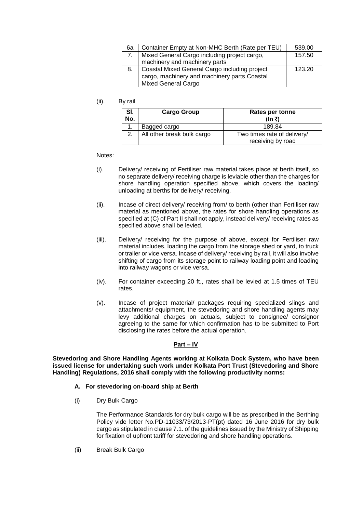| 6а | Container Empty at Non-MHC Berth (Rate per TEU)   | 539.00 |
|----|---------------------------------------------------|--------|
|    | 7.   Mixed General Cargo including project cargo, | 157.50 |
|    | machinery and machinery parts                     |        |
| 8. | Coastal Mixed General Cargo including project     | 123.20 |
|    | cargo, machinery and machinery parts Coastal      |        |
|    | <b>Mixed General Cargo</b>                        |        |

(ii). By rail

| SI.<br>No. | <b>Cargo Group</b>         | Rates per tonne<br>(In ₹)                        |
|------------|----------------------------|--------------------------------------------------|
|            | Bagged cargo               | 189.84                                           |
|            | All other break bulk cargo | Two times rate of delivery/<br>receiving by road |

Notes:

- (i). Delivery/ receiving of Fertiliser raw material takes place at berth itself, so no separate delivery/ receiving charge is leviable other than the charges for shore handling operation specified above, which covers the loading/ unloading at berths for delivery/ receiving.
- (ii). Incase of direct delivery/ receiving from/ to berth (other than Fertiliser raw material as mentioned above, the rates for shore handling operations as specified at (C) of Part II shall not apply, instead delivery/ receiving rates as specified above shall be levied.
- (iii). Delivery/ receiving for the purpose of above, except for Fertiliser raw material includes, loading the cargo from the storage shed or yard, to truck or trailer or vice versa. Incase of delivery/ receiving by rail, it will also involve shifting of cargo from its storage point to railway loading point and loading into railway wagons or vice versa.
- (iv). For container exceeding 20 ft., rates shall be levied at 1.5 times of TEU rates.
- (v). Incase of project material/ packages requiring specialized slings and attachments/ equipment, the stevedoring and shore handling agents may levy additional charges on actuals, subject to consignee/ consignor agreeing to the same for which confirmation has to be submitted to Port disclosing the rates before the actual operation.

#### **Part – IV**

**Stevedoring and Shore Handling Agents working at Kolkata Dock System, who have been issued license for undertaking such work under Kolkata Port Trust (Stevedoring and Shore Handling) Regulations, 2016 shall comply with the following productivity norms:**

#### **A. For stevedoring on-board ship at Berth**

(i) Dry Bulk Cargo

The Performance Standards for dry bulk cargo will be as prescribed in the Berthing Policy vide letter No.PD-11033/73/2013-PT(pt) dated 16 June 2016 for dry bulk cargo as stipulated in clause 7.1. of the guidelines issued by the Ministry of Shipping for fixation of upfront tariff for stevedoring and shore handling operations.

(ii) Break Bulk Cargo